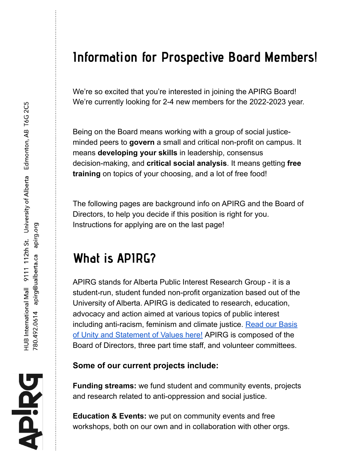### **Information for Prospective Board Members!**

We're so excited that you're interested in joining the APIRG Board! We're currently looking for 2-4 new members for the 2022-2023 year.

Being on the Board means working with a group of social justiceminded peers to **govern** a small and critical non-profit on campus. It means **developing your skills** in leadership, consensus decision-making, and **critical social analysis**. It means getting **free training** on topics of your choosing, and a lot of free food!

The following pages are background info on APIRG and the Board of Directors, to help you decide if this position is right for you. Instructions for applying are on the last page!

## **What is APIRG?**

APIRG stands for Alberta Public Interest Research Group - it is a student-run, student funded non-profit organization based out of the University of Alberta. APIRG is dedicated to research, education, advocacy and action aimed at various topics of public interest including anti-racism, feminism and climate justice. Read our [Basis](https://apirg.org/about/) of Unity and [Statement](https://apirg.org/about/) of Values here! APIRG is composed of the Board of Directors, three part time staff, and volunteer committees.

#### **Some of our current projects include:**

**Funding streams:** we fund student and community events, projects and research related to anti-oppression and social justice.

**Education & Events:** we put on community events and free workshops, both on our own and in collaboration with other orgs.

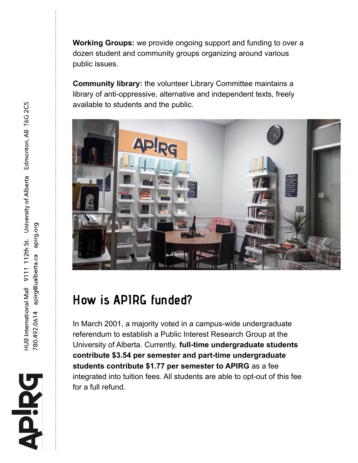**Working Groups:** we provide ongoing support and funding to over a dozen student and community groups organizing around various public issues.

**Community library:** the volunteer Library Committee maintains a library of anti-oppressive, alternative and independent texts, freely available to students and the public.



## **How is APIRG funded?**

In March 2001, a majority voted in a campus-wide undergraduate referendum to establish a Public Interest Research Group at the University of Alberta. Currently, **full-time undergraduate students contribute \$3.54 per semester and part-time undergraduate students contribute \$1.77 per semester to APIRG** as a fee integrated into tuition fees. All students are able to opt-out of this fee for a full refund.

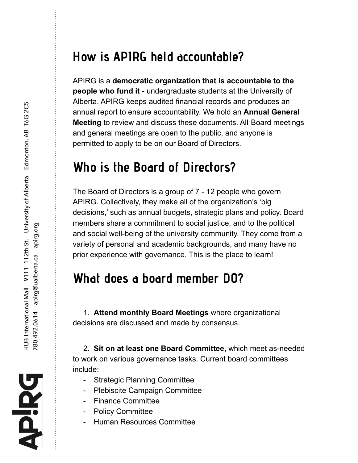#### **How is APIRG held accountable?**

APIRG is a **democratic organization that is accountable to the people who fund it** - undergraduate students at the University of Alberta. APIRG keeps audited financial records and produces an annual report to ensure accountability. We hold an **Annual General Meeting** to review and discuss these documents. All Board meetings and general meetings are open to the public, and anyone is permitted to apply to be on our Board of Directors.

#### **Who is the Board of Directors?**

The Board of Directors is a group of 7 - 12 people who govern APIRG. Collectively, they make all of the organization's 'big decisions,' such as annual budgets, strategic plans and policy. Board members share a commitment to social justice, and to the political and social well-being of the university community. They come from a variety of personal and academic backgrounds, and many have no prior experience with governance. This is the place to learn!

#### **What does a board member DO?**

1. **Attend monthly Board Meetings** where organizational decisions are discussed and made by consensus.

2. **Sit on at least one Board Committee,** which meet as-needed to work on various governance tasks. Current board committees include:

- Strategic Planning Committee
- Plebiscite Campaign Committee
- Finance Committee
- Policy Committee
- Human Resources Committee

**PiRG**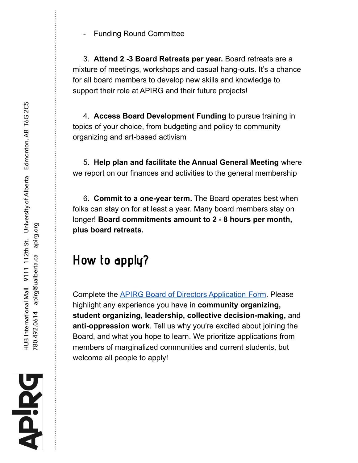- Funding Round Committee

3. **Attend 2 -3 Board Retreats per year.** Board retreats are a mixture of meetings, workshops and casual hang-outs. It's a chance for all board members to develop new skills and knowledge to support their role at APIRG and their future projects!

4. **Access Board Development Funding** to pursue training in topics of your choice, from budgeting and policy to community organizing and art-based activism

5. **Help plan and facilitate the Annual General Meeting** where we report on our finances and activities to the general membership

6. **Commit to a one-year term.** The Board operates best when folks can stay on for at least a year. Many board members stay on longer! **Board commitments amount to 2 - 8 hours per month, plus board retreats.**

# **How to apply?**

Complete the APIRG Board of Directors [Application](https://docs.google.com/forms/d/e/1FAIpQLSflUTn5XSZc1chrg5aIaFun4FEbmTmhLrR547U31PKd1dSh6g/viewform) Form. Please highlight any experience you have in **community organizing, student organizing, leadership, collective decision-making,** and **anti-oppression work**. Tell us why you're excited about joining the Board, and what you hope to learn. We prioritize applications from members of marginalized communities and current students, but welcome all people to apply!